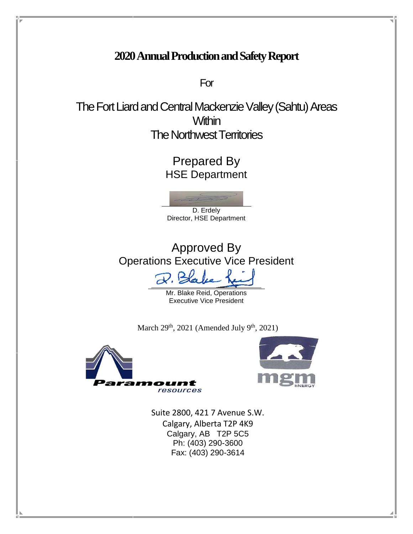# **2020Annual Production and Safety Report**

For

The Fort Liard and Central Mackenzie Valley (Sahtu) Areas **Within** The Northwest Territories

> Prepared By HSE Department



Approved By Operations Executive Vice President

 $\mathcal{D}.$ 

Mr. Blake Reid, Operations Executive Vice President

March  $29<sup>th</sup>$ ,  $2021$  (Amended July  $9<sup>th</sup>$ ,  $2021$ )





Suite 2800, 421 7 Avenue S.W. Calgary, Alberta T2P 4K9 Calgary, AB T2P 5C5 Ph: (403) 290-3600 Fax: (403) 290-3614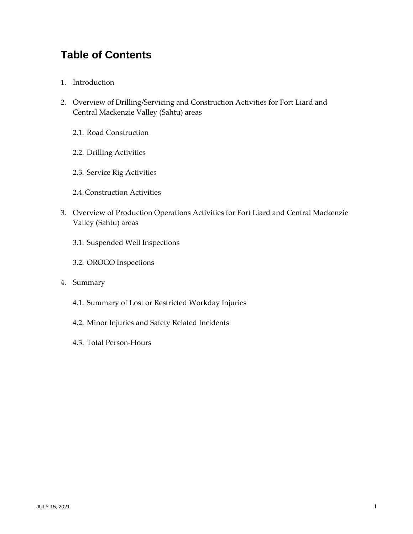# **Table of Contents**

- 1. Introduction
- 2. Overview of Drilling/Servicing and Construction Activities for Fort Liard and Central Mackenzie Valley (Sahtu) areas
	- 2.1. Road Construction
	- 2.2. Drilling Activities
	- 2.3. Service Rig Activities
	- 2.4.Construction Activities
- 3. Overview of Production Operations Activities for Fort Liard and Central Mackenzie Valley (Sahtu) areas
	- 3.1. Suspended Well Inspections
	- 3.2. OROGO Inspections
- 4. Summary
	- 4.1. Summary of Lost or Restricted Workday Injuries
	- 4.2. Minor Injuries and Safety Related Incidents
	- 4.3. Total Person-Hours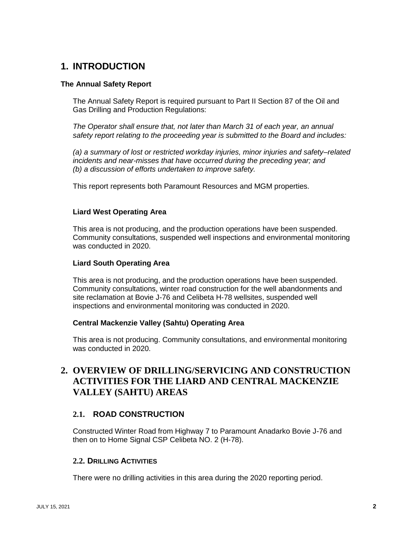# **1. INTRODUCTION**

### **The Annual Safety Report**

The Annual Safety Report is required pursuant to Part II Section 87 of the Oil and Gas Drilling and Production Regulations:

*The Operator shall ensure that, not later than March 31 of each year, an annual safety report relating to the proceeding year is submitted to the Board and includes:*

*(a) a summary of lost or restricted workday injuries, minor injuries and safety–related incidents and near-misses that have occurred during the preceding year; and (b) a discussion of efforts undertaken to improve safety.*

This report represents both Paramount Resources and MGM properties.

#### **Liard West Operating Area**

This area is not producing, and the production operations have been suspended. Community consultations, suspended well inspections and environmental monitoring was conducted in 2020.

#### **Liard South Operating Area**

This area is not producing, and the production operations have been suspended. Community consultations, winter road construction for the well abandonments and site reclamation at Bovie J-76 and Celibeta H-78 wellsites, suspended well inspections and environmental monitoring was conducted in 2020.

#### **Central Mackenzie Valley (Sahtu) Operating Area**

This area is not producing. Community consultations, and environmental monitoring was conducted in 2020.

# **2. OVERVIEW OF DRILLING/SERVICING AND CONSTRUCTION ACTIVITIES FOR THE LIARD AND CENTRAL MACKENZIE VALLEY (SAHTU) AREAS**

### **2.1. ROAD CONSTRUCTION**

Constructed Winter Road from Highway 7 to Paramount Anadarko Bovie J-76 and then on to Home Signal CSP Celibeta NO. 2 (H-78).

#### **2.2. DRILLING ACTIVITIES**

There were no drilling activities in this area during the 2020 reporting period.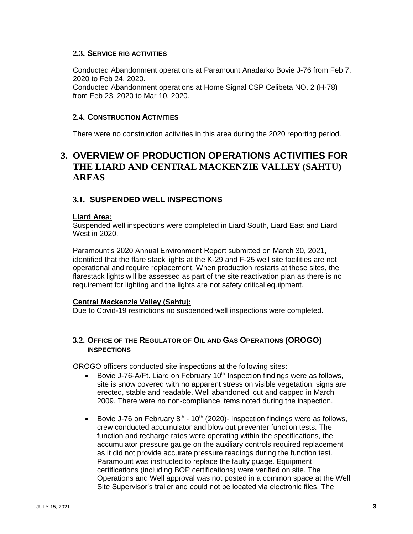### **2.3. SERVICE RIG ACTIVITIES**

Conducted Abandonment operations at Paramount Anadarko Bovie J-76 from Feb 7, 2020 to Feb 24, 2020.

Conducted Abandonment operations at Home Signal CSP Celibeta NO. 2 (H-78) from Feb 23, 2020 to Mar 10, 2020.

### **2.4. CONSTRUCTION ACTIVITIES**

There were no construction activities in this area during the 2020 reporting period.

# **3. OVERVIEW OF PRODUCTION OPERATIONS ACTIVITIES FOR THE LIARD AND CENTRAL MACKENZIE VALLEY (SAHTU) AREAS**

## **3.1. SUSPENDED WELL INSPECTIONS**

#### **Liard Area:**

Suspended well inspections were completed in Liard South, Liard East and Liard West in 2020.

Paramount's 2020 Annual Environment Report submitted on March 30, 2021, identified that the flare stack lights at the K-29 and F-25 well site facilities are not operational and require replacement. When production restarts at these sites, the flarestack lights will be assessed as part of the site reactivation plan as there is no requirement for lighting and the lights are not safety critical equipment.

#### **Central Mackenzie Valley (Sahtu):**

Due to Covid-19 restrictions no suspended well inspections were completed.

## **3.2. OFFICE OF THE REGULATOR OF OIL AND GAS OPERATIONS (OROGO) INSPECTIONS**

OROGO officers conducted site inspections at the following sites:

- Bovie J-76-A/Ft. Liard on February 10<sup>th</sup> Inspection findings were as follows, site is snow covered with no apparent stress on visible vegetation, signs are erected, stable and readable. Well abandoned, cut and capped in March 2009. There were no non-compliance items noted during the inspection.
- Bovie J-76 on February  $8<sup>th</sup>$  10<sup>th</sup> (2020)- Inspection findings were as follows, crew conducted accumulator and blow out preventer function tests. The function and recharge rates were operating within the specifications, the accumulator pressure gauge on the auxiliary controls required replacement as it did not provide accurate pressure readings during the function test. Paramount was instructed to replace the faulty guage. Equipment certifications (including BOP certifications) were verified on site. The Operations and Well approval was not posted in a common space at the Well Site Supervisor's trailer and could not be located via electronic files. The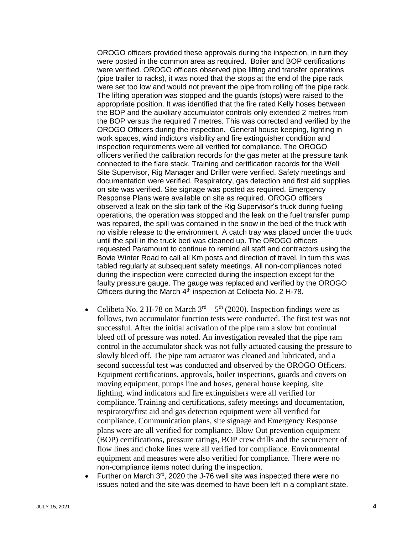OROGO officers provided these approvals during the inspection, in turn they were posted in the common area as required. Boiler and BOP certifications were verified. OROGO officers observed pipe lifting and transfer operations (pipe trailer to racks), it was noted that the stops at the end of the pipe rack were set too low and would not prevent the pipe from rolling off the pipe rack. The lifting operation was stopped and the guards (stops) were raised to the appropriate position. It was identified that the fire rated Kelly hoses between the BOP and the auxiliary accumulator controls only extended 2 metres from the BOP versus the required 7 metres. This was corrected and verified by the OROGO Officers during the inspection. General house keeping, lighting in work spaces, wind indictors visibility and fire extinguisher condition and inspection requirements were all verified for compliance. The OROGO officers verified the calibration records for the gas meter at the pressure tank connected to the flare stack. Training and certification records for the Well Site Supervisor, Rig Manager and Driller were verified. Safety meetings and documentation were verified. Respiratory, gas detection and first aid supplies on site was verified. Site signage was posted as required. Emergency Response Plans were available on site as required. OROGO officers observed a leak on the slip tank of the Rig Supervisor's truck during fueling operations, the operation was stopped and the leak on the fuel transfer pump was repaired, the spill was contained in the snow in the bed of the truck with no visible release to the environment. A catch tray was placed under the truck until the spill in the truck bed was cleaned up. The OROGO officers requested Paramount to continue to remind all staff and contractors using the Bovie Winter Road to call all Km posts and direction of travel. In turn this was tabled regularly at subsequent safety meetings. All non-compliances noted during the inspection were corrected during the inspection except for the faulty pressure gauge. The gauge was replaced and verified by the OROGO Officers during the March 4<sup>th</sup> inspection at Celibeta No. 2 H-78.

- Celibeta No. 2 H-78 on March  $3<sup>rd</sup> 5<sup>th</sup>$  (2020). Inspection findings were as follows, two accumulator function tests were conducted. The first test was not successful. After the initial activation of the pipe ram a slow but continual bleed off of pressure was noted. An investigation revealed that the pipe ram control in the accumulator shack was not fully actuated causing the pressure to slowly bleed off. The pipe ram actuator was cleaned and lubricated, and a second successful test was conducted and observed by the OROGO Officers. Equipment certifications, approvals, boiler inspections, guards and covers on moving equipment, pumps line and hoses, general house keeping, site lighting, wind indicators and fire extinguishers were all verified for compliance. Training and certifications, safety meetings and documentation, respiratory/first aid and gas detection equipment were all verified for compliance. Communication plans, site signage and Emergency Response plans were are all verified for compliance. Blow Out prevention equipment (BOP) certifications, pressure ratings, BOP crew drills and the securement of flow lines and choke lines were all verified for compliance. Environmental equipment and measures were also verified for compliance. There were no non-compliance items noted during the inspection.
- Further on March  $3<sup>rd</sup>$ , 2020 the J-76 well site was inspected there were no issues noted and the site was deemed to have been left in a compliant state.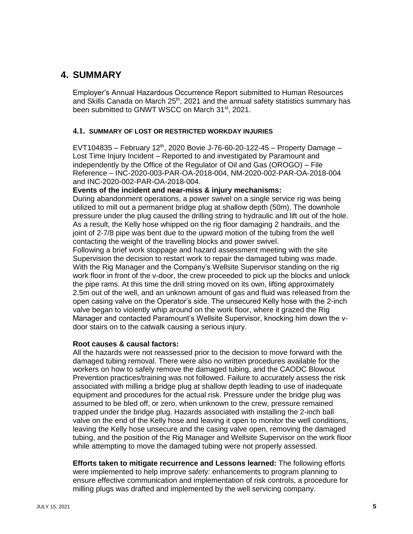# **4. SUMMARY**

Employer's Annual Hazardous Occurrence Report submitted to Human Resources and Skills Canada on March  $25<sup>th</sup>$ , 2021 and the annual safety statistics summary has been submitted to GNWT WSCC on March 31<sup>st</sup>, 2021.

#### **4.1. SUMMARY OF LOST OR RESTRICTED WORKDAY INJURIES**

EVT104835 – February 12<sup>th</sup>, 2020 Bovie J-76-60-20-122-45 – Property Damage – Lost Time Injury Incident – Reported to and investigated by Paramount and independently by the Office of the Regulator of Oil and Gas (OROGO) – File Reference – INC-2020-003-PAR-OA-2018-004, NM-2020-002-PAR-OA-2018-004 and INC-2020-002-PAR-OA-2018-004.

**Events of the incident and near-miss & injury mechanisms:**

During abandonment operations, a power swivel on a single service rig was being utilized to mill out a permanent bridge plug at shallow depth (50m). The downhole pressure under the plug caused the drilling string to hydraulic and lift out of the hole. As a result, the Kelly hose whipped on the rig floor damaging 2 handrails, and the joint of 2-7/8 pipe was bent due to the upward motion of the tubing from the well contacting the weight of the travelling blocks and power swivel.

Following a brief work stoppage and hazard assessment meeting with the site Supervision the decision to restart work to repair the damaged tubing was made. With the Rig Manager and the Company's Wellsite Supervisor standing on the rig work floor in front of the v-door, the crew proceeded to pick up the blocks and unlock the pipe rams. At this time the drill string moved on its own, lifting approximately 2.5m out of the well, and an unknown amount of gas and fluid was released from the open casing valve on the Operator's side. The unsecured Kelly hose with the 2-inch valve began to violently whip around on the work floor, where it grazed the Rig Manager and contacted Paramount's Wellsite Supervisor, knocking him down the vdoor stairs on to the catwalk causing a serious injury.

#### **Root causes & causal factors:**

All the hazards were not reassessed prior to the decision to move forward with the damaged tubing removal. There were also no written procedures available for the workers on how to safely remove the damaged tubing, and the CAODC Blowout Prevention practices/training was not followed. Failure to accurately assess the risk associated with milling a bridge plug at shallow depth leading to use of inadequate equipment and procedures for the actual risk. Pressure under the bridge plug was assumed to be bled off, or zero, when unknown to the crew, pressure remained trapped under the bridge plug. Hazards associated with installing the 2-inch ball valve on the end of the Kelly hose and leaving it open to monitor the well conditions, leaving the Kelly hose unsecure and the casing valve open, removing the damaged tubing, and the position of the Rig Manager and Wellsite Supervisor on the work floor while attempting to move the damaged tubing were not properly assessed.

**Efforts taken to mitigate recurrence and Lessons learned:** The following efforts were implemented to help improve safety: enhancements to program planning to ensure effective communication and implementation of risk controls, a procedure for milling plugs was drafted and implemented by the well servicing company.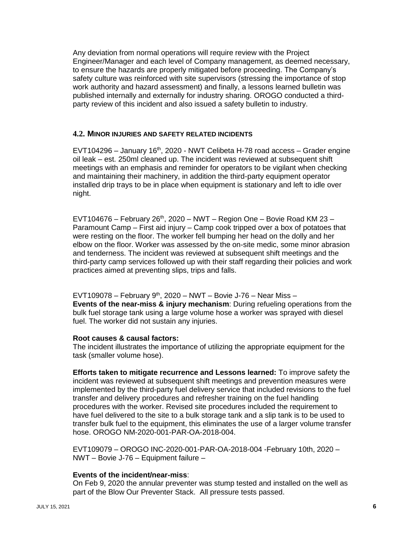Any deviation from normal operations will require review with the Project Engineer/Manager and each level of Company management, as deemed necessary, to ensure the hazards are properly mitigated before proceeding. The Company's safety culture was reinforced with site supervisors (stressing the importance of stop work authority and hazard assessment) and finally, a lessons learned bulletin was published internally and externally for industry sharing. OROGO conducted a thirdparty review of this incident and also issued a safety bulletin to industry.

#### **4.2. MINOR INJURIES AND SAFETY RELATED INCIDENTS**

 $EVT104296 - January 16<sup>th</sup>$ , 2020 - NWT Celibeta H-78 road access – Grader engine oil leak – est. 250ml cleaned up. The incident was reviewed at subsequent shift meetings with an emphasis and reminder for operators to be vigilant when checking and maintaining their machinery, in addition the third-party equipment operator installed drip trays to be in place when equipment is stationary and left to idle over night.

EVT104676 – February 26<sup>th</sup>, 2020 – NWT – Region One – Bovie Road KM 23 – Paramount Camp – First aid injury – Camp cook tripped over a box of potatoes that were resting on the floor. The worker fell bumping her head on the dolly and her elbow on the floor. Worker was assessed by the on-site medic, some minor abrasion and tenderness. The incident was reviewed at subsequent shift meetings and the third-party camp services followed up with their staff regarding their policies and work practices aimed at preventing slips, trips and falls.

EVT109078 – February 9<sup>th</sup>, 2020 – NWT – Bovie J-76 – Near Miss – **Events of the near-miss & injury mechanism**: During refueling operations from the bulk fuel storage tank using a large volume hose a worker was sprayed with diesel fuel. The worker did not sustain any injuries.

#### **Root causes & causal factors:**

The incident illustrates the importance of utilizing the appropriate equipment for the task (smaller volume hose).

**Efforts taken to mitigate recurrence and Lessons learned:** To improve safety the incident was reviewed at subsequent shift meetings and prevention measures were implemented by the third-party fuel delivery service that included revisions to the fuel transfer and delivery procedures and refresher training on the fuel handling procedures with the worker. Revised site procedures included the requirement to have fuel delivered to the site to a bulk storage tank and a slip tank is to be used to transfer bulk fuel to the equipment, this eliminates the use of a larger volume transfer hose. OROGO NM-2020-001-PAR-OA-2018-004.

EVT109079 – OROGO INC-2020-001-PAR-OA-2018-004 -February 10th, 2020 – NWT – Bovie J-76 – Equipment failure –

#### **Events of the incident/near-miss**:

On Feb 9, 2020 the annular preventer was stump tested and installed on the well as part of the Blow Our Preventer Stack. All pressure tests passed.